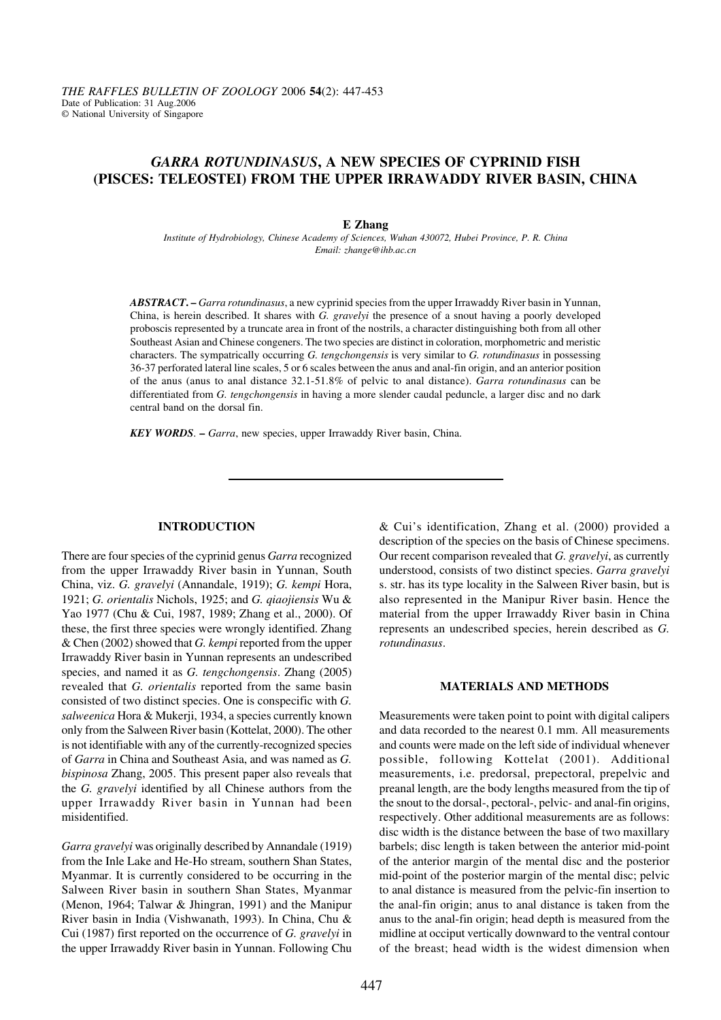# *GARRA ROTUNDINASUS***, A NEW SPECIES OF CYPRINID FISH (PISCES: TELEOSTEI) FROM THE UPPER IRRAWADDY RIVER BASIN, CHINA**

### **E Zhang**

*Institute of Hydrobiology, Chinese Academy of Sciences, Wuhan 430072, Hubei Province, P. R. China Email: zhange@ihb.ac.cn*

*ABSTRACT***. –** *Garra rotundinasus*, a new cyprinid species from the upper Irrawaddy River basin in Yunnan, China, is herein described. It shares with *G. gravelyi* the presence of a snout having a poorly developed proboscis represented by a truncate area in front of the nostrils, a character distinguishing both from all other Southeast Asian and Chinese congeners. The two species are distinct in coloration, morphometric and meristic characters. The sympatrically occurring *G. tengchongensis* is very similar to *G. rotundinasus* in possessing 36-37 perforated lateral line scales, 5 or 6 scales between the anus and anal-fin origin, and an anterior position of the anus (anus to anal distance 32.1-51.8% of pelvic to anal distance). *Garra rotundinasus* can be differentiated from *G. tengchongensis* in having a more slender caudal peduncle, a larger disc and no dark central band on the dorsal fin.

*KEY WORDS*. **–** *Garra*, new species, upper Irrawaddy River basin, China.

## **INTRODUCTION**

There are four species of the cyprinid genus *Garra* recognized from the upper Irrawaddy River basin in Yunnan, South China, viz. *G. gravelyi* (Annandale, 1919); *G. kempi* Hora, 1921; *G. orientalis* Nichols, 1925; and *G. qiaojiensis* Wu & Yao 1977 (Chu & Cui, 1987, 1989; Zhang et al., 2000). Of these, the first three species were wrongly identified. Zhang & Chen (2002) showed that *G. kempi* reported from the upper Irrawaddy River basin in Yunnan represents an undescribed species, and named it as *G. tengchongensis*. Zhang (2005) revealed that *G. orientalis* reported from the same basin consisted of two distinct species. One is conspecific with *G. salweenica* Hora & Mukerji, 1934, a species currently known only from the Salween River basin (Kottelat, 2000). The other is not identifiable with any of the currently-recognized species of *Garra* in China and Southeast Asia, and was named as *G. bispinosa* Zhang, 2005. This present paper also reveals that the *G. gravelyi* identified by all Chinese authors from the upper Irrawaddy River basin in Yunnan had been misidentified.

*Garra gravelyi* was originally described by Annandale (1919) from the Inle Lake and He-Ho stream, southern Shan States, Myanmar. It is currently considered to be occurring in the Salween River basin in southern Shan States, Myanmar (Menon, 1964; Talwar & Jhingran, 1991) and the Manipur River basin in India (Vishwanath, 1993). In China, Chu & Cui (1987) first reported on the occurrence of *G. gravelyi* in the upper Irrawaddy River basin in Yunnan. Following Chu

& Cui's identification, Zhang et al. (2000) provided a description of the species on the basis of Chinese specimens. Our recent comparison revealed that *G. gravelyi*, as currently understood, consists of two distinct species. *Garra gravelyi* s. str. has its type locality in the Salween River basin, but is also represented in the Manipur River basin. Hence the material from the upper Irrawaddy River basin in China represents an undescribed species, herein described as *G. rotundinasus*.

#### **MATERIALS AND METHODS**

Measurements were taken point to point with digital calipers and data recorded to the nearest 0.1 mm. All measurements and counts were made on the left side of individual whenever possible, following Kottelat (2001). Additional measurements, i.e. predorsal, prepectoral, prepelvic and preanal length, are the body lengths measured from the tip of the snout to the dorsal-, pectoral-, pelvic- and anal-fin origins, respectively. Other additional measurements are as follows: disc width is the distance between the base of two maxillary barbels; disc length is taken between the anterior mid-point of the anterior margin of the mental disc and the posterior mid-point of the posterior margin of the mental disc; pelvic to anal distance is measured from the pelvic-fin insertion to the anal-fin origin; anus to anal distance is taken from the anus to the anal-fin origin; head depth is measured from the midline at occiput vertically downward to the ventral contour of the breast; head width is the widest dimension when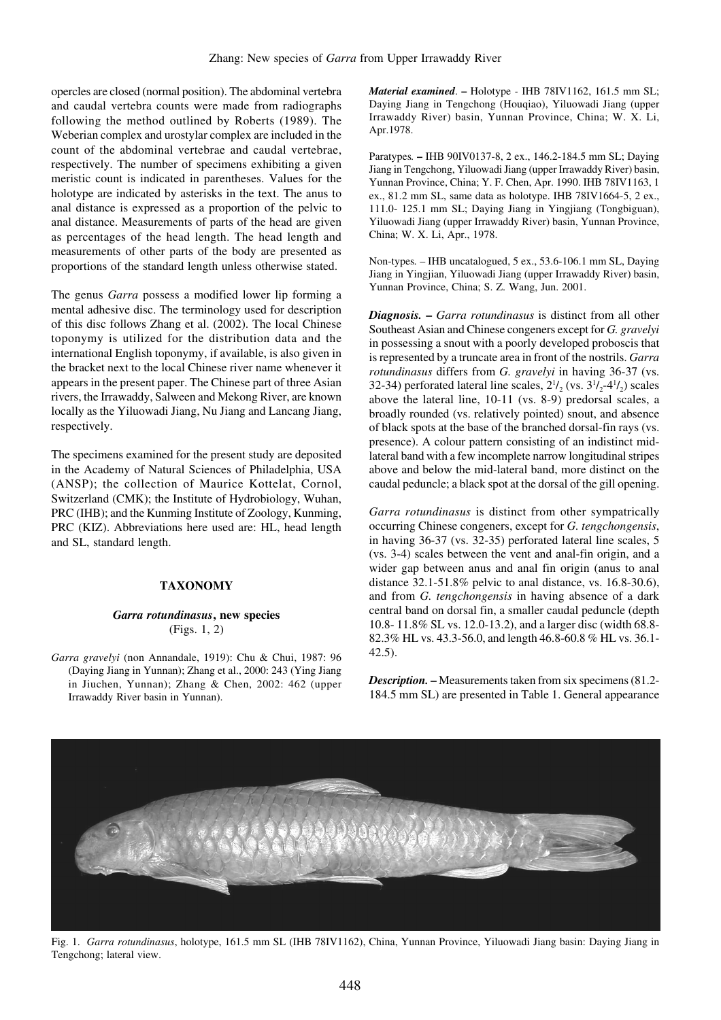opercles are closed (normal position). The abdominal vertebra and caudal vertebra counts were made from radiographs following the method outlined by Roberts (1989). The Weberian complex and urostylar complex are included in the count of the abdominal vertebrae and caudal vertebrae, respectively. The number of specimens exhibiting a given meristic count is indicated in parentheses. Values for the holotype are indicated by asterisks in the text. The anus to anal distance is expressed as a proportion of the pelvic to anal distance. Measurements of parts of the head are given as percentages of the head length. The head length and measurements of other parts of the body are presented as proportions of the standard length unless otherwise stated.

The genus *Garra* possess a modified lower lip forming a mental adhesive disc. The terminology used for description of this disc follows Zhang et al. (2002). The local Chinese toponymy is utilized for the distribution data and the international English toponymy, if available, is also given in the bracket next to the local Chinese river name whenever it appears in the present paper. The Chinese part of three Asian rivers, the Irrawaddy, Salween and Mekong River, are known locally as the Yiluowadi Jiang, Nu Jiang and Lancang Jiang, respectively.

The specimens examined for the present study are deposited in the Academy of Natural Sciences of Philadelphia, USA (ANSP); the collection of Maurice Kottelat, Cornol, Switzerland (CMK); the Institute of Hydrobiology, Wuhan, PRC (IHB); and the Kunming Institute of Zoology, Kunming, PRC (KIZ). Abbreviations here used are: HL, head length and SL, standard length.

## **TAXONOMY**

## *Garra rotundinasus***, new species** (Figs. 1, 2)

*Garra gravelyi* (non Annandale, 1919): Chu & Chui, 1987: 96 (Daying Jiang in Yunnan); Zhang et al., 2000: 243 (Ying Jiang in Jiuchen, Yunnan); Zhang & Chen, 2002: 462 (upper Irrawaddy River basin in Yunnan).

*Material examined*. **–** Holotype *-* IHB 78IV1162, 161.5 mm SL; Daying Jiang in Tengchong (Houqiao), Yiluowadi Jiang (upper Irrawaddy River) basin, Yunnan Province, China; W. X. Li, Apr.1978.

Paratypes*.* **–** IHB 90IV0137-8, 2 ex., 146.2-184.5 mm SL; Daying Jiang in Tengchong, Yiluowadi Jiang (upper Irrawaddy River) basin, Yunnan Province, China; Y. F. Chen, Apr. 1990. IHB 78IV1163, 1 ex., 81.2 mm SL, same data as holotype. IHB 78IV1664-5, 2 ex., 111.0- 125.1 mm SL; Daying Jiang in Yingjiang (Tongbiguan), Yiluowadi Jiang (upper Irrawaddy River) basin, Yunnan Province, China; W. X. Li, Apr., 1978.

Non-types*.* – IHB uncatalogued, 5 ex., 53.6-106.1 mm SL, Daying Jiang in Yingjian, Yiluowadi Jiang (upper Irrawaddy River) basin, Yunnan Province, China; S. Z. Wang, Jun. 2001.

*Diagnosis.* **–** *Garra rotundinasus* is distinct from all other Southeast Asian and Chinese congeners except for *G. gravelyi* in possessing a snout with a poorly developed proboscis that is represented by a truncate area in front of the nostrils. *Garra rotundinasus* differs from *G. gravelyi* in having 36-37 (vs. 32-34) perforated lateral line scales,  $2^{1/2}$  (vs.  $3^{1/2}$ -4<sup>1</sup>/<sub>2</sub>) scales above the lateral line, 10-11 (vs. 8-9) predorsal scales, a broadly rounded (vs. relatively pointed) snout, and absence of black spots at the base of the branched dorsal-fin rays (vs. presence). A colour pattern consisting of an indistinct midlateral band with a few incomplete narrow longitudinal stripes above and below the mid-lateral band, more distinct on the caudal peduncle; a black spot at the dorsal of the gill opening.

*Garra rotundinasus* is distinct from other sympatrically occurring Chinese congeners, except for *G. tengchongensis*, in having 36-37 (vs. 32-35) perforated lateral line scales, 5 (vs. 3-4) scales between the vent and anal-fin origin, and a wider gap between anus and anal fin origin (anus to anal distance 32.1-51.8% pelvic to anal distance, vs. 16.8-30.6), and from *G. tengchongensis* in having absence of a dark central band on dorsal fin, a smaller caudal peduncle (depth 10.8- 11.8% SL vs. 12.0-13.2), and a larger disc (width 68.8- 82.3% HL vs. 43.3-56.0, and length 46.8-60.8 % HL vs. 36.1- 42.5).

*Description.* **–** Measurements taken from six specimens (81.2- 184.5 mm SL) are presented in Table 1. General appearance



Fig. 1. *Garra rotundinasus*, holotype, 161.5 mm SL (IHB 78IV1162), China, Yunnan Province, Yiluowadi Jiang basin: Daying Jiang in Tengchong; lateral view.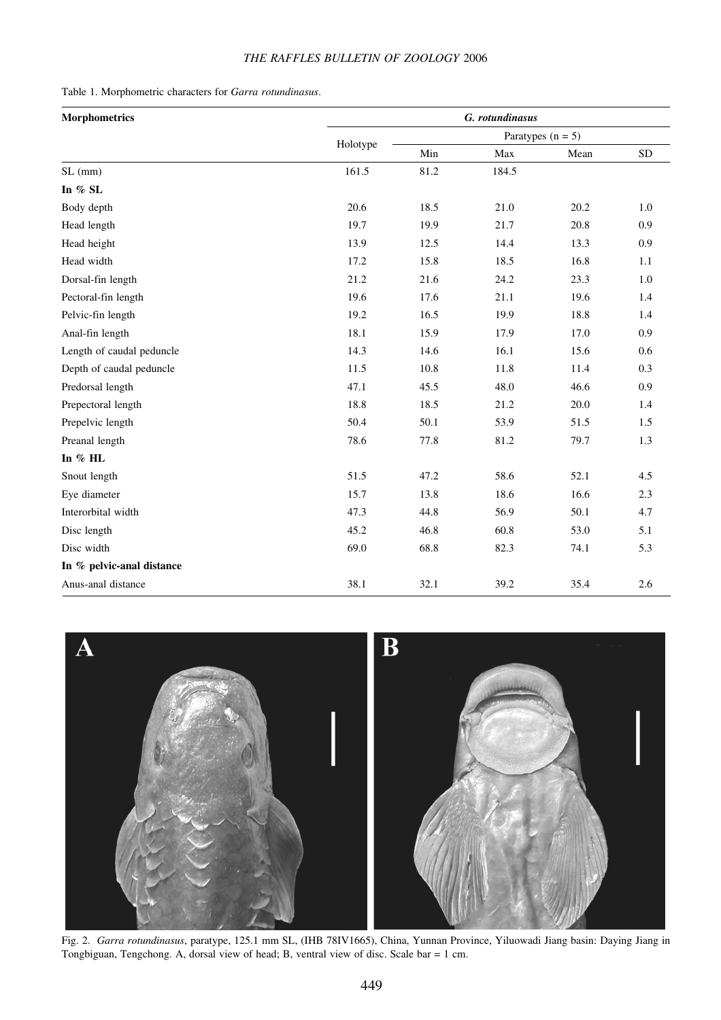# *THE RAFFLES BULLETIN OF ZOOLOGY* 2006

|  |  |  |  |  |  | Table 1. Morphometric characters for Garra rotundinasus. |
|--|--|--|--|--|--|----------------------------------------------------------|
|--|--|--|--|--|--|----------------------------------------------------------|

| <b>Morphometrics</b>      | G. rotundinasus |                     |       |      |            |  |
|---------------------------|-----------------|---------------------|-------|------|------------|--|
|                           |                 | Paratypes $(n = 5)$ |       |      |            |  |
|                           | Holotype        | Min                 | Max   | Mean | ${\rm SD}$ |  |
| SL (mm)                   | 161.5           | 81.2                | 184.5 |      |            |  |
| In $%$ SL                 |                 |                     |       |      |            |  |
| Body depth                | 20.6            | 18.5                | 21.0  | 20.2 | 1.0        |  |
| Head length               | 19.7            | 19.9                | 21.7  | 20.8 | 0.9        |  |
| Head height               | 13.9            | 12.5                | 14.4  | 13.3 | 0.9        |  |
| Head width                | 17.2            | 15.8                | 18.5  | 16.8 | 1.1        |  |
| Dorsal-fin length         | 21.2            | 21.6                | 24.2  | 23.3 | $1.0\,$    |  |
| Pectoral-fin length       | 19.6            | 17.6                | 21.1  | 19.6 | 1.4        |  |
| Pelvic-fin length         | 19.2            | 16.5                | 19.9  | 18.8 | 1.4        |  |
| Anal-fin length           | 18.1            | 15.9                | 17.9  | 17.0 | 0.9        |  |
| Length of caudal peduncle | 14.3            | 14.6                | 16.1  | 15.6 | 0.6        |  |
| Depth of caudal peduncle  | 11.5            | 10.8                | 11.8  | 11.4 | 0.3        |  |
| Predorsal length          | 47.1            | 45.5                | 48.0  | 46.6 | 0.9        |  |
| Prepectoral length        | 18.8            | 18.5                | 21.2  | 20.0 | 1.4        |  |
| Prepelvic length          | 50.4            | 50.1                | 53.9  | 51.5 | 1.5        |  |
| Preanal length            | 78.6            | 77.8                | 81.2  | 79.7 | 1.3        |  |
| In % HL                   |                 |                     |       |      |            |  |
| Snout length              | 51.5            | 47.2                | 58.6  | 52.1 | 4.5        |  |
| Eye diameter              | 15.7            | 13.8                | 18.6  | 16.6 | 2.3        |  |
| Interorbital width        | 47.3            | 44.8                | 56.9  | 50.1 | 4.7        |  |
| Disc length               | 45.2            | 46.8                | 60.8  | 53.0 | 5.1        |  |
| Disc width                | 69.0            | 68.8                | 82.3  | 74.1 | 5.3        |  |
| In % pelvic-anal distance |                 |                     |       |      |            |  |
| Anus-anal distance        | 38.1            | 32.1                | 39.2  | 35.4 | 2.6        |  |



Fig. 2. *Garra rotundinasus*, paratype, 125.1 mm SL, (IHB 78IV1665), China, Yunnan Province, Yiluowadi Jiang basin: Daying Jiang in Tongbiguan, Tengchong. A, dorsal view of head; B, ventral view of disc. Scale bar = 1 cm.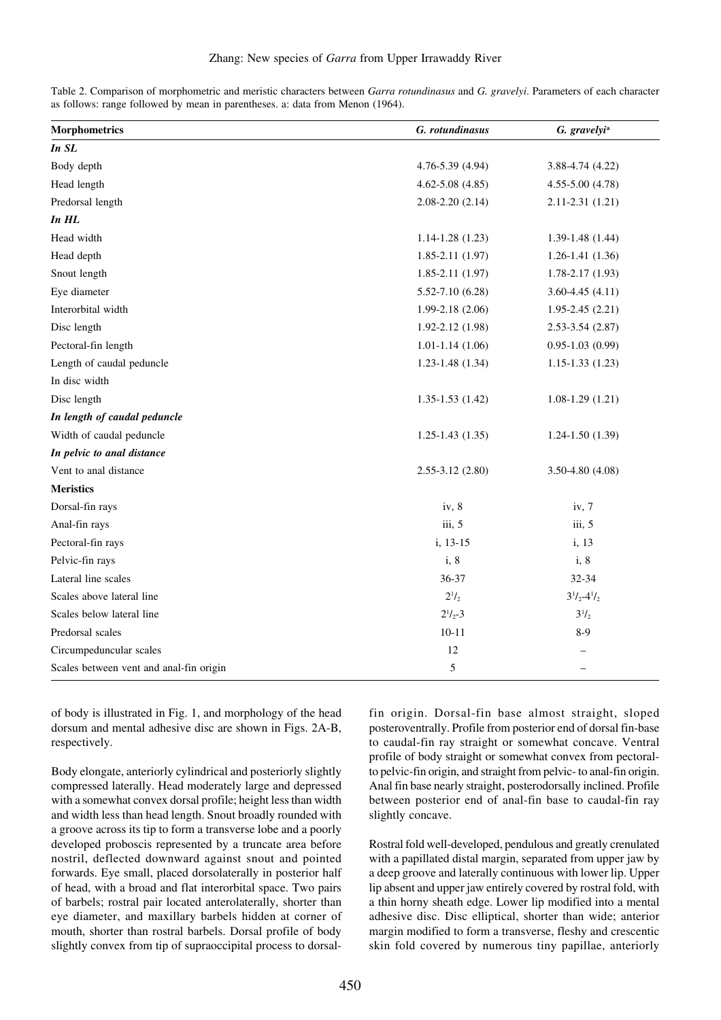| Table 2. Comparison of morphometric and meristic characters between <i>Garra rotundinasus</i> and <i>G. gravelyi</i> . Parameters of each character |  |  |  |
|-----------------------------------------------------------------------------------------------------------------------------------------------------|--|--|--|
| as follows: range followed by mean in parentheses. a: data from Menon (1964).                                                                       |  |  |  |

| <b>Morphometrics</b>                    | G. rotundinasus        | G. gravelyi <sup>a</sup> |  |
|-----------------------------------------|------------------------|--------------------------|--|
| In SL                                   |                        |                          |  |
| Body depth                              | 4.76-5.39 (4.94)       | 3.88-4.74 (4.22)         |  |
| Head length                             | $4.62 - 5.08$ $(4.85)$ | 4.55-5.00 (4.78)         |  |
| Predorsal length                        | $2.08 - 2.20$ $(2.14)$ | $2.11 - 2.31(1.21)$      |  |
| $In$ $HL$                               |                        |                          |  |
| Head width                              | $1.14 - 1.28(1.23)$    | $1.39 - 1.48(1.44)$      |  |
| Head depth                              | $1.85 - 2.11(1.97)$    | $1.26 - 1.41(1.36)$      |  |
| Snout length                            | $1.85 - 2.11(1.97)$    | $1.78 - 2.17(1.93)$      |  |
| Eye diameter                            | $5.52 - 7.10(6.28)$    | $3.60 - 4.45(4.11)$      |  |
| Interorbital width                      | $1.99 - 2.18(2.06)$    | $1.95 - 2.45(2.21)$      |  |
| Disc length                             | $1.92 - 2.12(1.98)$    | $2.53 - 3.54$ (2.87)     |  |
| Pectoral-fin length                     | $1.01 - 1.14(1.06)$    | $0.95 - 1.03(0.99)$      |  |
| Length of caudal peduncle               | $1.23 - 1.48$ (1.34)   | $1.15 - 1.33(1.23)$      |  |
| In disc width                           |                        |                          |  |
| Disc length                             | $1.35 - 1.53$ $(1.42)$ | $1.08 - 1.29(1.21)$      |  |
| In length of caudal peduncle            |                        |                          |  |
| Width of caudal peduncle                | $1.25 - 1.43$ $(1.35)$ | $1.24 - 1.50(1.39)$      |  |
| In pelvic to anal distance              |                        |                          |  |
| Vent to anal distance                   | $2.55 - 3.12$ $(2.80)$ | $3.50 - 4.80$ (4.08)     |  |
| <b>Meristics</b>                        |                        |                          |  |
| Dorsal-fin rays                         | iv, 8                  | iv, 7                    |  |
| Anal-fin rays                           | iii, 5                 | iii, 5                   |  |
| Pectoral-fin rays                       | i, 13-15               | i, 13                    |  |
| Pelvic-fin rays                         | i, 8                   | i, 8                     |  |
| Lateral line scales                     | 36-37                  | 32-34                    |  |
| Scales above lateral line               | $2^{1}/_{2}$           | $3^{1}/_{2}-4^{1}/_{2}$  |  |
| Scales below lateral line               | $2^{1}/_{2}-3$         | $3^{1}/_{2}$             |  |
| Predorsal scales                        | $10 - 11$              | $8-9$                    |  |
| Circumpeduncular scales                 | 12                     |                          |  |
| Scales between vent and anal-fin origin | $\mathfrak s$          |                          |  |

of body is illustrated in Fig. 1, and morphology of the head dorsum and mental adhesive disc are shown in Figs. 2A-B, respectively.

Body elongate, anteriorly cylindrical and posteriorly slightly compressed laterally. Head moderately large and depressed with a somewhat convex dorsal profile; height less than width and width less than head length. Snout broadly rounded with a groove across its tip to form a transverse lobe and a poorly developed proboscis represented by a truncate area before nostril, deflected downward against snout and pointed forwards. Eye small, placed dorsolaterally in posterior half of head, with a broad and flat interorbital space. Two pairs of barbels; rostral pair located anterolaterally, shorter than eye diameter, and maxillary barbels hidden at corner of mouth, shorter than rostral barbels. Dorsal profile of body slightly convex from tip of supraoccipital process to dorsalfin origin. Dorsal-fin base almost straight, sloped posteroventrally. Profile from posterior end of dorsal fin-base to caudal-fin ray straight or somewhat concave. Ventral profile of body straight or somewhat convex from pectoralto pelvic-fin origin, and straight from pelvic- to anal-fin origin. Anal fin base nearly straight, posterodorsally inclined. Profile between posterior end of anal-fin base to caudal-fin ray slightly concave.

Rostral fold well-developed, pendulous and greatly crenulated with a papillated distal margin, separated from upper jaw by a deep groove and laterally continuous with lower lip. Upper lip absent and upper jaw entirely covered by rostral fold, with a thin horny sheath edge. Lower lip modified into a mental adhesive disc. Disc elliptical, shorter than wide; anterior margin modified to form a transverse, fleshy and crescentic skin fold covered by numerous tiny papillae, anteriorly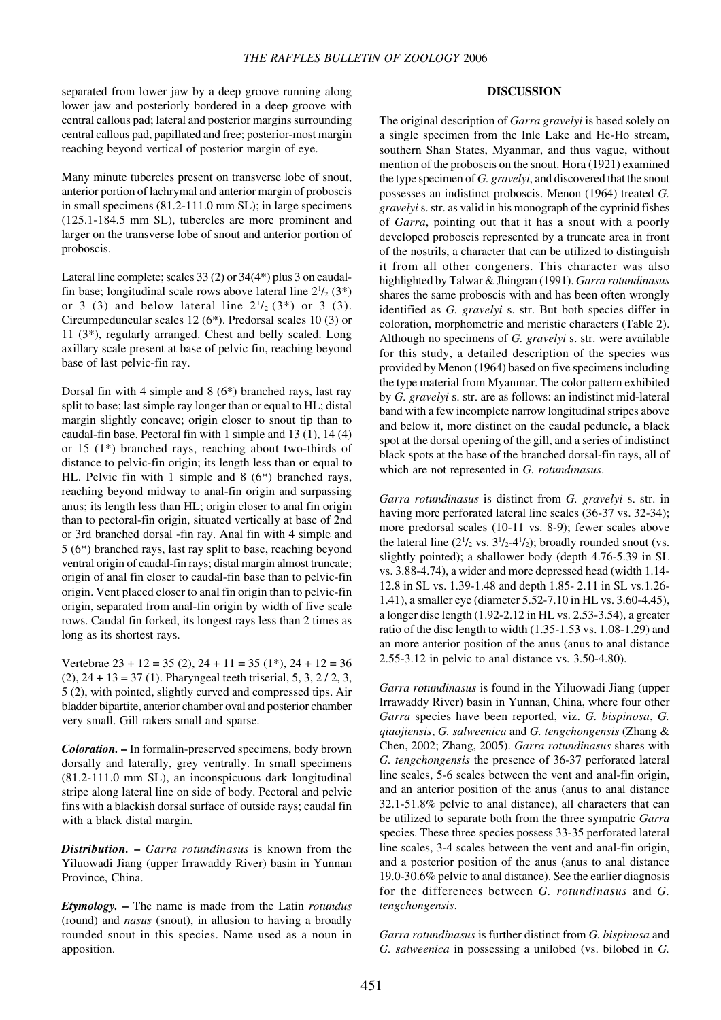separated from lower jaw by a deep groove running along lower jaw and posteriorly bordered in a deep groove with central callous pad; lateral and posterior margins surrounding central callous pad, papillated and free; posterior-most margin reaching beyond vertical of posterior margin of eye.

Many minute tubercles present on transverse lobe of snout, anterior portion of lachrymal and anterior margin of proboscis in small specimens (81.2-111.0 mm SL); in large specimens (125.1-184.5 mm SL), tubercles are more prominent and larger on the transverse lobe of snout and anterior portion of proboscis.

Lateral line complete; scales 33 (2) or 34(4\*) plus 3 on caudalfin base; longitudinal scale rows above lateral line  $2^{1/2}$  (3\*) or 3 (3) and below lateral line  $2^{1}/_{2}$  (3\*) or 3 (3). Circumpeduncular scales 12 (6\*). Predorsal scales 10 (3) or 11 (3\*), regularly arranged. Chest and belly scaled. Long axillary scale present at base of pelvic fin, reaching beyond base of last pelvic-fin ray.

Dorsal fin with 4 simple and 8 (6\*) branched rays, last ray split to base; last simple ray longer than or equal to HL; distal margin slightly concave; origin closer to snout tip than to caudal-fin base. Pectoral fin with 1 simple and 13 (1), 14 (4) or 15 (1\*) branched rays, reaching about two-thirds of distance to pelvic-fin origin; its length less than or equal to HL. Pelvic fin with 1 simple and 8 (6\*) branched rays, reaching beyond midway to anal-fin origin and surpassing anus; its length less than HL; origin closer to anal fin origin than to pectoral-fin origin, situated vertically at base of 2nd or 3rd branched dorsal -fin ray. Anal fin with 4 simple and 5 (6\*) branched rays, last ray split to base, reaching beyond ventral origin of caudal-fin rays; distal margin almost truncate; origin of anal fin closer to caudal-fin base than to pelvic-fin origin. Vent placed closer to anal fin origin than to pelvic-fin origin, separated from anal-fin origin by width of five scale rows. Caudal fin forked, its longest rays less than 2 times as long as its shortest rays.

Vertebrae  $23 + 12 = 35 (2), 24 + 11 = 35 (1<sup>*</sup>), 24 + 12 = 36$  $(2)$ ,  $24 + 13 = 37$  (1). Pharyngeal teeth triserial, 5, 3, 2/2, 3, 5 (2), with pointed, slightly curved and compressed tips. Air bladder bipartite, anterior chamber oval and posterior chamber very small. Gill rakers small and sparse.

*Coloration.* **–** In formalin-preserved specimens, body brown dorsally and laterally, grey ventrally. In small specimens (81.2-111.0 mm SL), an inconspicuous dark longitudinal stripe along lateral line on side of body. Pectoral and pelvic fins with a blackish dorsal surface of outside rays; caudal fin with a black distal margin.

*Distribution.* **–** *Garra rotundinasus* is known from the Yiluowadi Jiang (upper Irrawaddy River) basin in Yunnan Province, China.

*Etymology.* **–** The name is made from the Latin *rotundus* (round) and *nasus* (snout), in allusion to having a broadly rounded snout in this species. Name used as a noun in apposition.

### **DISCUSSION**

The original description of *Garra gravelyi* is based solely on a single specimen from the Inle Lake and He-Ho stream, southern Shan States, Myanmar, and thus vague, without mention of the proboscis on the snout. Hora (1921) examined the type specimen of *G. gravelyi*, and discovered that the snout possesses an indistinct proboscis. Menon (1964) treated *G. gravelyi* s. str. as valid in his monograph of the cyprinid fishes of *Garra*, pointing out that it has a snout with a poorly developed proboscis represented by a truncate area in front of the nostrils, a character that can be utilized to distinguish it from all other congeners. This character was also highlighted by Talwar & Jhingran (1991). *Garra rotundinasus* shares the same proboscis with and has been often wrongly identified as *G. gravelyi* s. str. But both species differ in coloration, morphometric and meristic characters (Table 2). Although no specimens of *G. gravelyi* s. str. were available for this study, a detailed description of the species was provided by Menon (1964) based on five specimens including the type material from Myanmar. The color pattern exhibited by *G. gravelyi* s. str. are as follows: an indistinct mid-lateral band with a few incomplete narrow longitudinal stripes above and below it, more distinct on the caudal peduncle, a black spot at the dorsal opening of the gill, and a series of indistinct black spots at the base of the branched dorsal-fin rays, all of which are not represented in *G. rotundinasus*.

*Garra rotundinasus* is distinct from *G. gravelyi* s. str. in having more perforated lateral line scales (36-37 vs. 32-34); more predorsal scales (10-11 vs. 8-9); fewer scales above the lateral line  $(2^{1/2} \text{ vs. } 3^{1/2} - 4^{1/2})$ ; broadly rounded snout (vs. slightly pointed); a shallower body (depth 4.76-5.39 in SL vs. 3.88-4.74), a wider and more depressed head (width 1.14- 12.8 in SL vs. 1.39-1.48 and depth 1.85- 2.11 in SL vs.1.26- 1.41), a smaller eye (diameter 5.52-7.10 in HL vs. 3.60-4.45), a longer disc length (1.92-2.12 in HL vs. 2.53-3.54), a greater ratio of the disc length to width (1.35-1.53 vs. 1.08-1.29) and an more anterior position of the anus (anus to anal distance 2.55-3.12 in pelvic to anal distance vs. 3.50-4.80).

*Garra rotundinasus* is found in the Yiluowadi Jiang (upper Irrawaddy River) basin in Yunnan, China, where four other *Garra* species have been reported, viz. *G. bispinosa*, *G. qiaojiensis*, *G. salweenica* and *G. tengchongensis* (Zhang & Chen, 2002; Zhang, 2005). *Garra rotundinasus* shares with *G. tengchongensis* the presence of 36-37 perforated lateral line scales, 5-6 scales between the vent and anal-fin origin, and an anterior position of the anus (anus to anal distance 32.1-51.8% pelvic to anal distance), all characters that can be utilized to separate both from the three sympatric *Garra* species. These three species possess 33-35 perforated lateral line scales, 3-4 scales between the vent and anal-fin origin, and a posterior position of the anus (anus to anal distance 19.0-30.6% pelvic to anal distance). See the earlier diagnosis for the differences between *G. rotundinasus* and *G. tengchongensis*.

*Garra rotundinasus* is further distinct from *G. bispinosa* and *G. salweenica* in possessing a unilobed (vs. bilobed in *G.*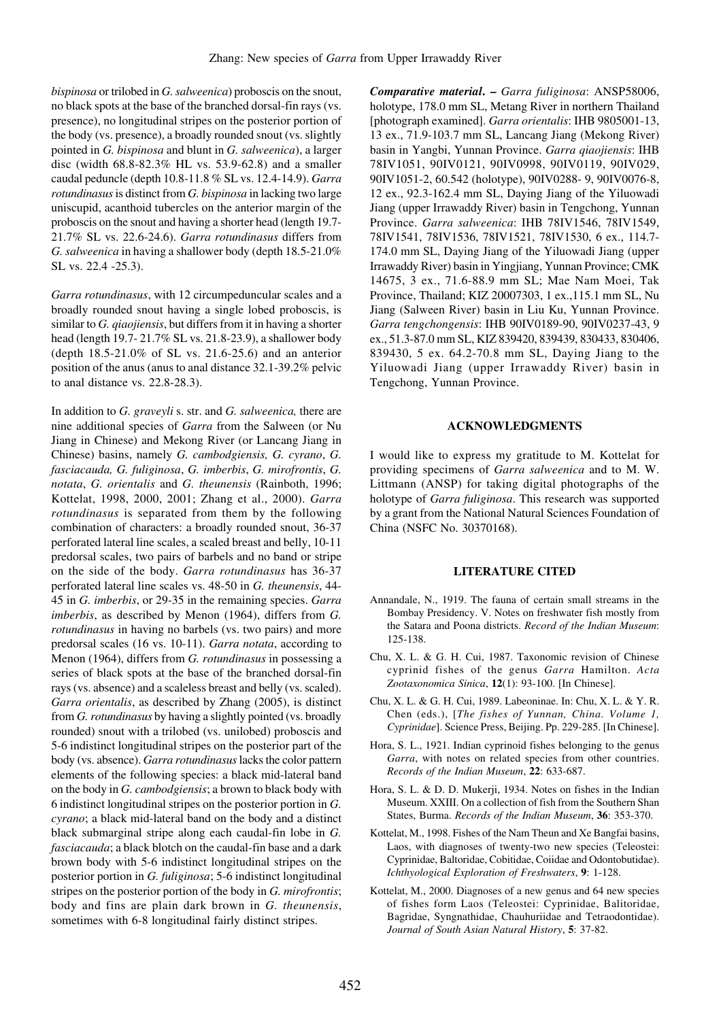*bispinosa* or trilobed in *G. salweenica*) proboscis on the snout, no black spots at the base of the branched dorsal-fin rays (vs. presence), no longitudinal stripes on the posterior portion of the body (vs. presence), a broadly rounded snout (vs. slightly pointed in *G. bispinosa* and blunt in *G. salweenica*), a larger disc (width 68.8-82.3% HL vs. 53.9-62.8) and a smaller caudal peduncle (depth 10.8-11.8 % SL vs. 12.4-14.9). *Garra rotundinasus* is distinct from *G. bispinosa* in lacking two large uniscupid, acanthoid tubercles on the anterior margin of the proboscis on the snout and having a shorter head (length 19.7- 21.7% SL vs. 22.6-24.6). *Garra rotundinasus* differs from *G. salweenica* in having a shallower body (depth 18.5-21.0% SL vs. 22.4 -25.3).

*Garra rotundinasus*, with 12 circumpeduncular scales and a broadly rounded snout having a single lobed proboscis, is similar to *G. qiaojiensis*, but differs from it in having a shorter head (length 19.7- 21.7% SL vs. 21.8-23.9), a shallower body (depth 18.5-21.0% of SL vs. 21.6-25.6) and an anterior position of the anus (anus to anal distance 32.1-39.2% pelvic to anal distance vs. 22.8-28.3).

In addition to *G. graveyli* s. str. and *G. salweenica,* there are nine additional species of *Garra* from the Salween (or Nu Jiang in Chinese) and Mekong River (or Lancang Jiang in Chinese) basins, namely *G. cambodgiensis, G. cyrano*, *G. fasciacauda, G. fuliginosa*, *G. imberbis*, *G. mirofrontis*, *G. notata*, *G. orientalis* and *G. theunensis* (Rainboth, 1996; Kottelat, 1998, 2000, 2001; Zhang et al., 2000). *Garra rotundinasus* is separated from them by the following combination of characters: a broadly rounded snout, 36-37 perforated lateral line scales, a scaled breast and belly, 10-11 predorsal scales, two pairs of barbels and no band or stripe on the side of the body. *Garra rotundinasus* has 36-37 perforated lateral line scales vs. 48-50 in *G. theunensis*, 44- 45 in *G. imberbis*, or 29-35 in the remaining species. *Garra imberbis*, as described by Menon (1964), differs from *G. rotundinasus* in having no barbels (vs. two pairs) and more predorsal scales (16 vs. 10-11). *Garra notata*, according to Menon (1964), differs from *G. rotundinasus* in possessing a series of black spots at the base of the branched dorsal-fin rays (vs. absence) and a scaleless breast and belly (vs. scaled). *Garra orientalis*, as described by Zhang (2005), is distinct from *G. rotundinasus* by having a slightly pointed (vs. broadly rounded) snout with a trilobed (vs. unilobed) proboscis and 5-6 indistinct longitudinal stripes on the posterior part of the body (vs. absence). *Garra rotundinasus* lacks the color pattern elements of the following species: a black mid-lateral band on the body in *G. cambodgiensis*; a brown to black body with 6 indistinct longitudinal stripes on the posterior portion in *G. cyrano*; a black mid-lateral band on the body and a distinct black submarginal stripe along each caudal-fin lobe in *G. fasciacauda*; a black blotch on the caudal-fin base and a dark brown body with 5-6 indistinct longitudinal stripes on the posterior portion in *G. fuliginosa*; 5-6 indistinct longitudinal stripes on the posterior portion of the body in *G. mirofrontis*; body and fins are plain dark brown in *G. theunensis*, sometimes with 6-8 longitudinal fairly distinct stripes.

*Comparative material***. –** *Garra fuliginosa*: ANSP58006, holotype, 178.0 mm SL, Metang River in northern Thailand [photograph examined]. *Garra orientalis*: IHB 9805001-13, 13 ex., 71.9-103.7 mm SL, Lancang Jiang (Mekong River) basin in Yangbi, Yunnan Province. *Garra qiaojiensis*: IHB 78IV1051, 90IV0121, 90IV0998, 90IV0119, 90IV029, 90IV1051-2, 60.542 (holotype), 90IV0288- 9, 90IV0076-8, 12 ex., 92.3-162.4 mm SL, Daying Jiang of the Yiluowadi Jiang (upper Irrawaddy River) basin in Tengchong, Yunnan Province. *Garra salweenica*: IHB 78IV1546, 78IV1549, 78IV1541, 78IV1536, 78IV1521, 78IV1530, 6 ex., 114.7- 174.0 mm SL, Daying Jiang of the Yiluowadi Jiang (upper Irrawaddy River) basin in Yingjiang, Yunnan Province; CMK 14675, 3 ex., 71.6-88.9 mm SL; Mae Nam Moei, Tak Province, Thailand; KIZ 20007303, 1 ex.,115.1 mm SL, Nu Jiang (Salween River) basin in Liu Ku, Yunnan Province. *Garra tengchongensis*: IHB 90IV0189-90, 90IV0237-43, 9 ex., 51.3-87.0 mm SL, KIZ 839420, 839439, 830433, 830406, 839430, 5 ex. 64.2-70.8 mm SL, Daying Jiang to the Yiluowadi Jiang (upper Irrawaddy River) basin in Tengchong, Yunnan Province.

### **ACKNOWLEDGMENTS**

I would like to express my gratitude to M. Kottelat for providing specimens of *Garra salweenica* and to M. W. Littmann (ANSP) for taking digital photographs of the holotype of *Garra fuliginosa*. This research was supported by a grant from the National Natural Sciences Foundation of China (NSFC No. 30370168).

### **LITERATURE CITED**

- Annandale, N., 1919. The fauna of certain small streams in the Bombay Presidency. V. Notes on freshwater fish mostly from the Satara and Poona districts. *Record of the Indian Museum*: 125-138.
- Chu, X. L. & G. H. Cui, 1987. Taxonomic revision of Chinese cyprinid fishes of the genus *Garra* Hamilton. *Acta Zootaxonomica Sinica*, **12**(1): 93-100. [In Chinese].
- Chu, X. L. & G. H. Cui, 1989. Labeoninae. In: Chu, X. L. & Y. R. Chen (eds.), [*The fishes of Yunnan, China. Volume 1, Cyprinidae*]. Science Press, Beijing. Pp. 229-285. [In Chinese].
- Hora, S. L., 1921. Indian cyprinoid fishes belonging to the genus *Garra*, with notes on related species from other countries. *Records of the Indian Museum*, **22**: 633-687.
- Hora, S. L. & D. D. Mukerji, 1934. Notes on fishes in the Indian Museum. XXIII. On a collection of fish from the Southern Shan States, Burma. *Records of the Indian Museum*, **36**: 353-370.
- Kottelat, M., 1998. Fishes of the Nam Theun and Xe Bangfai basins, Laos, with diagnoses of twenty-two new species (Teleostei: Cyprinidae, Baltoridae, Cobitidae, Coiidae and Odontobutidae). *Ichthyological Exploration of Freshwaters*, **9**: 1-128.
- Kottelat, M., 2000. Diagnoses of a new genus and 64 new species of fishes form Laos (Teleostei: Cyprinidae, Balitoridae, Bagridae, Syngnathidae, Chauhuriidae and Tetraodontidae). *Journal of South Asian Natural History*, **5**: 37-82.